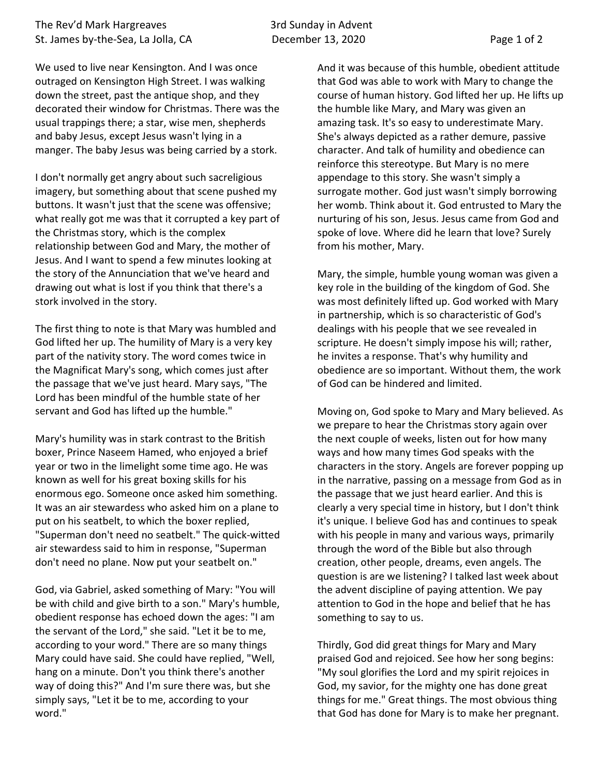We used to live near Kensington. And I was once outraged on Kensington High Street. I was walking down the street, past the antique shop, and they decorated their window for Christmas. There was the usual trappings there; a star, wise men, shepherds and baby Jesus, except Jesus wasn't lying in a manger. The baby Jesus was being carried by a stork.

I don't normally get angry about such sacreligious imagery, but something about that scene pushed my buttons. It wasn't just that the scene was offensive; what really got me was that it corrupted a key part of the Christmas story, which is the complex relationship between God and Mary, the mother of Jesus. And I want to spend a few minutes looking at the story of the Annunciation that we've heard and drawing out what is lost if you think that there's a stork involved in the story.

The first thing to note is that Mary was humbled and God lifted her up. The humility of Mary is a very key part of the nativity story. The word comes twice in the Magnificat Mary's song, which comes just after the passage that we've just heard. Mary says, "The Lord has been mindful of the humble state of her servant and God has lifted up the humble."

Mary's humility was in stark contrast to the British boxer, Prince Naseem Hamed, who enjoyed a brief year or two in the limelight some time ago. He was known as well for his great boxing skills for his enormous ego. Someone once asked him something. It was an air stewardess who asked him on a plane to put on his seatbelt, to which the boxer replied, "Superman don't need no seatbelt." The quick-witted air stewardess said to him in response, "Superman don't need no plane. Now put your seatbelt on."

God, via Gabriel, asked something of Mary: "You will be with child and give birth to a son." Mary's humble, obedient response has echoed down the ages: "I am the servant of the Lord," she said. "Let it be to me, according to your word." There are so many things Mary could have said. She could have replied, "Well, hang on a minute. Don't you think there's another way of doing this?" And I'm sure there was, but she simply says, "Let it be to me, according to your word."

And it was because of this humble, obedient attitude that God was able to work with Mary to change the course of human history. God lifted her up. He lifts up the humble like Mary, and Mary was given an amazing task. It's so easy to underestimate Mary. She's always depicted as a rather demure, passive character. And talk of humility and obedience can reinforce this stereotype. But Mary is no mere appendage to this story. She wasn't simply a surrogate mother. God just wasn't simply borrowing her womb. Think about it. God entrusted to Mary the nurturing of his son, Jesus. Jesus came from God and spoke of love. Where did he learn that love? Surely from his mother, Mary.

Mary, the simple, humble young woman was given a key role in the building of the kingdom of God. She was most definitely lifted up. God worked with Mary in partnership, which is so characteristic of God's dealings with his people that we see revealed in scripture. He doesn't simply impose his will; rather, he invites a response. That's why humility and obedience are so important. Without them, the work of God can be hindered and limited.

Moving on, God spoke to Mary and Mary believed. As we prepare to hear the Christmas story again over the next couple of weeks, listen out for how many ways and how many times God speaks with the characters in the story. Angels are forever popping up in the narrative, passing on a message from God as in the passage that we just heard earlier. And this is clearly a very special time in history, but I don't think it's unique. I believe God has and continues to speak with his people in many and various ways, primarily through the word of the Bible but also through creation, other people, dreams, even angels. The question is are we listening? I talked last week about the advent discipline of paying attention. We pay attention to God in the hope and belief that he has something to say to us.

Thirdly, God did great things for Mary and Mary praised God and rejoiced. See how her song begins: "My soul glorifies the Lord and my spirit rejoices in God, my savior, for the mighty one has done great things for me." Great things. The most obvious thing that God has done for Mary is to make her pregnant.